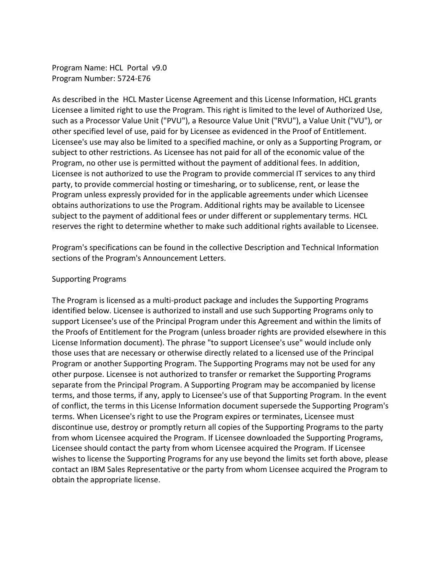Program Name: HCL Portal v9.0 Program Number: 5724-E76

As described in the HCL Master License Agreement and this License Information, HCL grants Licensee a limited right to use the Program. This right is limited to the level of Authorized Use, such as a Processor Value Unit ("PVU"), a Resource Value Unit ("RVU"), a Value Unit ("VU"), or other specified level of use, paid for by Licensee as evidenced in the Proof of Entitlement. Licensee's use may also be limited to a specified machine, or only as a Supporting Program, or subject to other restrictions. As Licensee has not paid for all of the economic value of the Program, no other use is permitted without the payment of additional fees. In addition, Licensee is not authorized to use the Program to provide commercial IT services to any third party, to provide commercial hosting or timesharing, or to sublicense, rent, or lease the Program unless expressly provided for in the applicable agreements under which Licensee obtains authorizations to use the Program. Additional rights may be available to Licensee subject to the payment of additional fees or under different or supplementary terms. HCL reserves the right to determine whether to make such additional rights available to Licensee.

Program's specifications can be found in the collective Description and Technical Information sections of the Program's Announcement Letters.

#### Supporting Programs

The Program is licensed as a multi-product package and includes the Supporting Programs identified below. Licensee is authorized to install and use such Supporting Programs only to support Licensee's use of the Principal Program under this Agreement and within the limits of the Proofs of Entitlement for the Program (unless broader rights are provided elsewhere in this License Information document). The phrase "to support Licensee's use" would include only those uses that are necessary or otherwise directly related to a licensed use of the Principal Program or another Supporting Program. The Supporting Programs may not be used for any other purpose. Licensee is not authorized to transfer or remarket the Supporting Programs separate from the Principal Program. A Supporting Program may be accompanied by license terms, and those terms, if any, apply to Licensee's use of that Supporting Program. In the event of conflict, the terms in this License Information document supersede the Supporting Program's terms. When Licensee's right to use the Program expires or terminates, Licensee must discontinue use, destroy or promptly return all copies of the Supporting Programs to the party from whom Licensee acquired the Program. If Licensee downloaded the Supporting Programs, Licensee should contact the party from whom Licensee acquired the Program. If Licensee wishes to license the Supporting Programs for any use beyond the limits set forth above, please contact an IBM Sales Representative or the party from whom Licensee acquired the Program to obtain the appropriate license.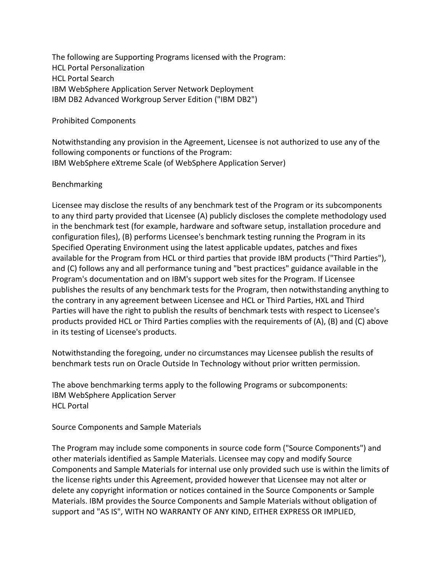The following are Supporting Programs licensed with the Program: HCL Portal Personalization HCL Portal Search IBM WebSphere Application Server Network Deployment IBM DB2 Advanced Workgroup Server Edition ("IBM DB2")

### Prohibited Components

Notwithstanding any provision in the Agreement, Licensee is not authorized to use any of the following components or functions of the Program: IBM WebSphere eXtreme Scale (of WebSphere Application Server)

#### Benchmarking

Licensee may disclose the results of any benchmark test of the Program or its subcomponents to any third party provided that Licensee (A) publicly discloses the complete methodology used in the benchmark test (for example, hardware and software setup, installation procedure and configuration files), (B) performs Licensee's benchmark testing running the Program in its Specified Operating Environment using the latest applicable updates, patches and fixes available for the Program from HCL or third parties that provide IBM products ("Third Parties"), and (C) follows any and all performance tuning and "best practices" guidance available in the Program's documentation and on IBM's support web sites for the Program. If Licensee publishes the results of any benchmark tests for the Program, then notwithstanding anything to the contrary in any agreement between Licensee and HCL or Third Parties, HXL and Third Parties will have the right to publish the results of benchmark tests with respect to Licensee's products provided HCL or Third Parties complies with the requirements of (A), (B) and (C) above in its testing of Licensee's products.

Notwithstanding the foregoing, under no circumstances may Licensee publish the results of benchmark tests run on Oracle Outside In Technology without prior written permission.

The above benchmarking terms apply to the following Programs or subcomponents: IBM WebSphere Application Server HCL Portal

Source Components and Sample Materials

The Program may include some components in source code form ("Source Components") and other materials identified as Sample Materials. Licensee may copy and modify Source Components and Sample Materials for internal use only provided such use is within the limits of the license rights under this Agreement, provided however that Licensee may not alter or delete any copyright information or notices contained in the Source Components or Sample Materials. IBM provides the Source Components and Sample Materials without obligation of support and "AS IS", WITH NO WARRANTY OF ANY KIND, EITHER EXPRESS OR IMPLIED,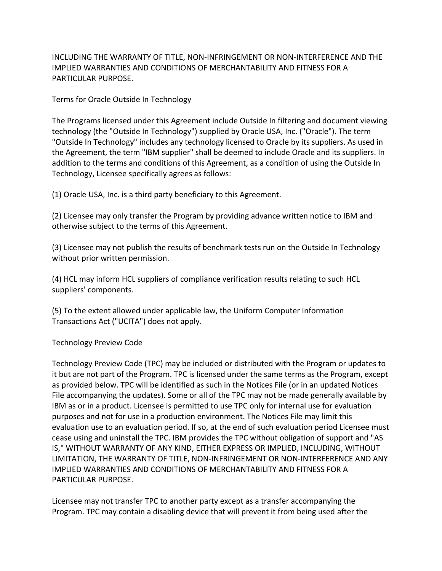INCLUDING THE WARRANTY OF TITLE, NON-INFRINGEMENT OR NON-INTERFERENCE AND THE IMPLIED WARRANTIES AND CONDITIONS OF MERCHANTABILITY AND FITNESS FOR A PARTICULAR PURPOSE.

Terms for Oracle Outside In Technology

The Programs licensed under this Agreement include Outside In filtering and document viewing technology (the "Outside In Technology") supplied by Oracle USA, Inc. ("Oracle"). The term "Outside In Technology" includes any technology licensed to Oracle by its suppliers. As used in the Agreement, the term "IBM supplier" shall be deemed to include Oracle and its suppliers. In addition to the terms and conditions of this Agreement, as a condition of using the Outside In Technology, Licensee specifically agrees as follows:

(1) Oracle USA, Inc. is a third party beneficiary to this Agreement.

(2) Licensee may only transfer the Program by providing advance written notice to IBM and otherwise subject to the terms of this Agreement.

(3) Licensee may not publish the results of benchmark tests run on the Outside In Technology without prior written permission.

(4) HCL may inform HCL suppliers of compliance verification results relating to such HCL suppliers' components.

(5) To the extent allowed under applicable law, the Uniform Computer Information Transactions Act ("UCITA") does not apply.

Technology Preview Code

Technology Preview Code (TPC) may be included or distributed with the Program or updates to it but are not part of the Program. TPC is licensed under the same terms as the Program, except as provided below. TPC will be identified as such in the Notices File (or in an updated Notices File accompanying the updates). Some or all of the TPC may not be made generally available by IBM as or in a product. Licensee is permitted to use TPC only for internal use for evaluation purposes and not for use in a production environment. The Notices File may limit this evaluation use to an evaluation period. If so, at the end of such evaluation period Licensee must cease using and uninstall the TPC. IBM provides the TPC without obligation of support and "AS IS," WITHOUT WARRANTY OF ANY KIND, EITHER EXPRESS OR IMPLIED, INCLUDING, WITHOUT LIMITATION, THE WARRANTY OF TITLE, NON-INFRINGEMENT OR NON-INTERFERENCE AND ANY IMPLIED WARRANTIES AND CONDITIONS OF MERCHANTABILITY AND FITNESS FOR A PARTICULAR PURPOSE.

Licensee may not transfer TPC to another party except as a transfer accompanying the Program. TPC may contain a disabling device that will prevent it from being used after the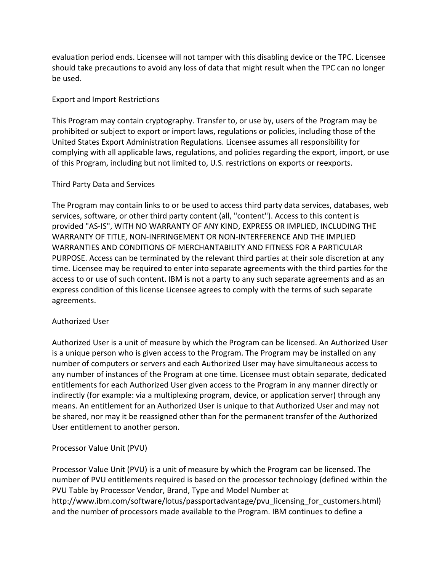evaluation period ends. Licensee will not tamper with this disabling device or the TPC. Licensee should take precautions to avoid any loss of data that might result when the TPC can no longer be used.

## Export and Import Restrictions

This Program may contain cryptography. Transfer to, or use by, users of the Program may be prohibited or subject to export or import laws, regulations or policies, including those of the United States Export Administration Regulations. Licensee assumes all responsibility for complying with all applicable laws, regulations, and policies regarding the export, import, or use of this Program, including but not limited to, U.S. restrictions on exports or reexports.

## Third Party Data and Services

The Program may contain links to or be used to access third party data services, databases, web services, software, or other third party content (all, "content"). Access to this content is provided "AS-IS", WITH NO WARRANTY OF ANY KIND, EXPRESS OR IMPLIED, INCLUDING THE WARRANTY OF TITLE, NON-INFRINGEMENT OR NON-INTERFERENCE AND THE IMPLIED WARRANTIES AND CONDITIONS OF MERCHANTABILITY AND FITNESS FOR A PARTICULAR PURPOSE. Access can be terminated by the relevant third parties at their sole discretion at any time. Licensee may be required to enter into separate agreements with the third parties for the access to or use of such content. IBM is not a party to any such separate agreements and as an express condition of this license Licensee agrees to comply with the terms of such separate agreements.

# Authorized User

Authorized User is a unit of measure by which the Program can be licensed. An Authorized User is a unique person who is given access to the Program. The Program may be installed on any number of computers or servers and each Authorized User may have simultaneous access to any number of instances of the Program at one time. Licensee must obtain separate, dedicated entitlements for each Authorized User given access to the Program in any manner directly or indirectly (for example: via a multiplexing program, device, or application server) through any means. An entitlement for an Authorized User is unique to that Authorized User and may not be shared, nor may it be reassigned other than for the permanent transfer of the Authorized User entitlement to another person.

# Processor Value Unit (PVU)

Processor Value Unit (PVU) is a unit of measure by which the Program can be licensed. The number of PVU entitlements required is based on the processor technology (defined within the PVU Table by Processor Vendor, Brand, Type and Model Number at http://www.ibm.com/software/lotus/passportadvantage/pvu\_licensing\_for\_customers.html) and the number of processors made available to the Program. IBM continues to define a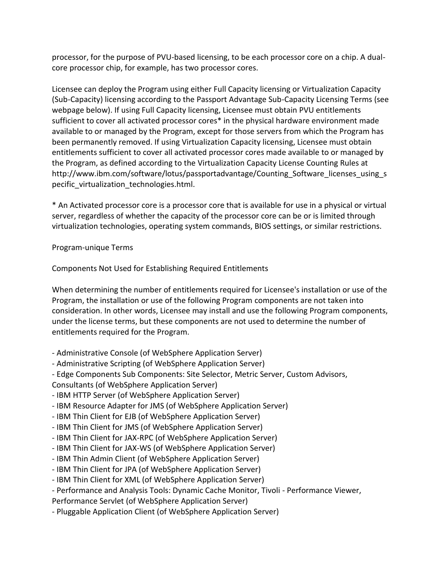processor, for the purpose of PVU-based licensing, to be each processor core on a chip. A dualcore processor chip, for example, has two processor cores.

Licensee can deploy the Program using either Full Capacity licensing or Virtualization Capacity (Sub-Capacity) licensing according to the Passport Advantage Sub-Capacity Licensing Terms (see webpage below). If using Full Capacity licensing, Licensee must obtain PVU entitlements sufficient to cover all activated processor cores\* in the physical hardware environment made available to or managed by the Program, except for those servers from which the Program has been permanently removed. If using Virtualization Capacity licensing, Licensee must obtain entitlements sufficient to cover all activated processor cores made available to or managed by the Program, as defined according to the Virtualization Capacity License Counting Rules at http://www.ibm.com/software/lotus/passportadvantage/Counting\_Software\_licenses\_using\_s pecific\_virtualization\_technologies.html.

\* An Activated processor core is a processor core that is available for use in a physical or virtual server, regardless of whether the capacity of the processor core can be or is limited through virtualization technologies, operating system commands, BIOS settings, or similar restrictions.

## Program-unique Terms

## Components Not Used for Establishing Required Entitlements

When determining the number of entitlements required for Licensee's installation or use of the Program, the installation or use of the following Program components are not taken into consideration. In other words, Licensee may install and use the following Program components, under the license terms, but these components are not used to determine the number of entitlements required for the Program.

- Administrative Console (of WebSphere Application Server)
- Administrative Scripting (of WebSphere Application Server)

- Edge Components Sub Components: Site Selector, Metric Server, Custom Advisors, Consultants (of WebSphere Application Server)

- IBM HTTP Server (of WebSphere Application Server)
- IBM Resource Adapter for JMS (of WebSphere Application Server)
- IBM Thin Client for EJB (of WebSphere Application Server)
- IBM Thin Client for JMS (of WebSphere Application Server)
- IBM Thin Client for JAX-RPC (of WebSphere Application Server)
- IBM Thin Client for JAX-WS (of WebSphere Application Server)
- IBM Thin Admin Client (of WebSphere Application Server)
- IBM Thin Client for JPA (of WebSphere Application Server)
- IBM Thin Client for XML (of WebSphere Application Server)

- Performance and Analysis Tools: Dynamic Cache Monitor, Tivoli - Performance Viewer,

Performance Servlet (of WebSphere Application Server)

- Pluggable Application Client (of WebSphere Application Server)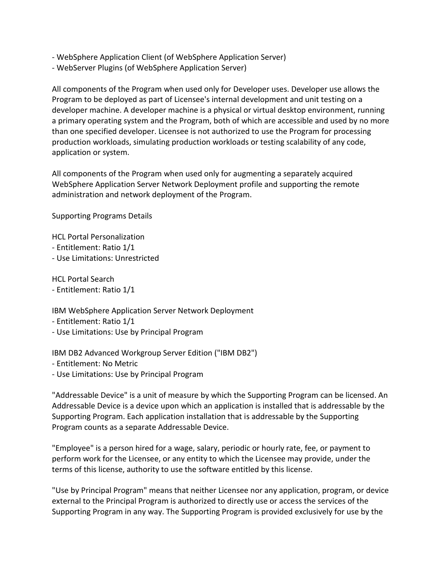- WebSphere Application Client (of WebSphere Application Server)
- WebServer Plugins (of WebSphere Application Server)

All components of the Program when used only for Developer uses. Developer use allows the Program to be deployed as part of Licensee's internal development and unit testing on a developer machine. A developer machine is a physical or virtual desktop environment, running a primary operating system and the Program, both of which are accessible and used by no more than one specified developer. Licensee is not authorized to use the Program for processing production workloads, simulating production workloads or testing scalability of any code, application or system.

All components of the Program when used only for augmenting a separately acquired WebSphere Application Server Network Deployment profile and supporting the remote administration and network deployment of the Program.

Supporting Programs Details

HCL Portal Personalization

- Entitlement: Ratio 1/1
- Use Limitations: Unrestricted

HCL Portal Search

- Entitlement: Ratio 1/1

IBM WebSphere Application Server Network Deployment

- Entitlement: Ratio 1/1
- Use Limitations: Use by Principal Program

IBM DB2 Advanced Workgroup Server Edition ("IBM DB2")

- Entitlement: No Metric
- Use Limitations: Use by Principal Program

"Addressable Device" is a unit of measure by which the Supporting Program can be licensed. An Addressable Device is a device upon which an application is installed that is addressable by the Supporting Program. Each application installation that is addressable by the Supporting Program counts as a separate Addressable Device.

"Employee" is a person hired for a wage, salary, periodic or hourly rate, fee, or payment to perform work for the Licensee, or any entity to which the Licensee may provide, under the terms of this license, authority to use the software entitled by this license.

"Use by Principal Program" means that neither Licensee nor any application, program, or device external to the Principal Program is authorized to directly use or access the services of the Supporting Program in any way. The Supporting Program is provided exclusively for use by the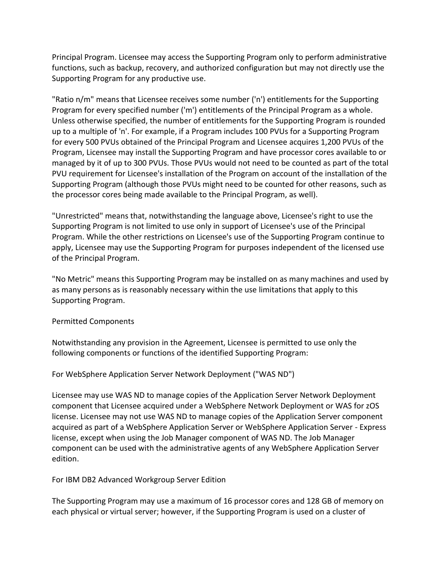Principal Program. Licensee may access the Supporting Program only to perform administrative functions, such as backup, recovery, and authorized configuration but may not directly use the Supporting Program for any productive use.

"Ratio n/m" means that Licensee receives some number ('n') entitlements for the Supporting Program for every specified number ('m') entitlements of the Principal Program as a whole. Unless otherwise specified, the number of entitlements for the Supporting Program is rounded up to a multiple of 'n'. For example, if a Program includes 100 PVUs for a Supporting Program for every 500 PVUs obtained of the Principal Program and Licensee acquires 1,200 PVUs of the Program, Licensee may install the Supporting Program and have processor cores available to or managed by it of up to 300 PVUs. Those PVUs would not need to be counted as part of the total PVU requirement for Licensee's installation of the Program on account of the installation of the Supporting Program (although those PVUs might need to be counted for other reasons, such as the processor cores being made available to the Principal Program, as well).

"Unrestricted" means that, notwithstanding the language above, Licensee's right to use the Supporting Program is not limited to use only in support of Licensee's use of the Principal Program. While the other restrictions on Licensee's use of the Supporting Program continue to apply, Licensee may use the Supporting Program for purposes independent of the licensed use of the Principal Program.

"No Metric" means this Supporting Program may be installed on as many machines and used by as many persons as is reasonably necessary within the use limitations that apply to this Supporting Program.

### Permitted Components

Notwithstanding any provision in the Agreement, Licensee is permitted to use only the following components or functions of the identified Supporting Program:

For WebSphere Application Server Network Deployment ("WAS ND")

Licensee may use WAS ND to manage copies of the Application Server Network Deployment component that Licensee acquired under a WebSphere Network Deployment or WAS for zOS license. Licensee may not use WAS ND to manage copies of the Application Server component acquired as part of a WebSphere Application Server or WebSphere Application Server - Express license, except when using the Job Manager component of WAS ND. The Job Manager component can be used with the administrative agents of any WebSphere Application Server edition.

For IBM DB2 Advanced Workgroup Server Edition

The Supporting Program may use a maximum of 16 processor cores and 128 GB of memory on each physical or virtual server; however, if the Supporting Program is used on a cluster of